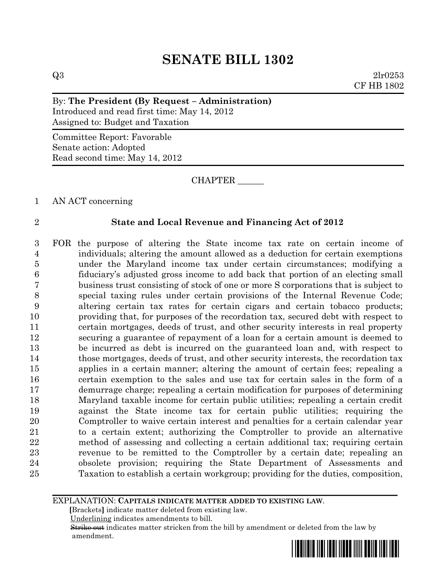# **SENATE BILL 1302**

 $Q3 \t2lr0253$ CF HB 1802

### By: **The President (By Request – Administration)**

Introduced and read first time: May 14, 2012 Assigned to: Budget and Taxation

Committee Report: Favorable Senate action: Adopted Read second time: May 14, 2012

CHAPTER \_\_\_\_\_\_

AN ACT concerning

### **State and Local Revenue and Financing Act of 2012**

 FOR the purpose of altering the State income tax rate on certain income of individuals; altering the amount allowed as a deduction for certain exemptions under the Maryland income tax under certain circumstances; modifying a fiduciary's adjusted gross income to add back that portion of an electing small business trust consisting of stock of one or more S corporations that is subject to special taxing rules under certain provisions of the Internal Revenue Code; altering certain tax rates for certain cigars and certain tobacco products; providing that, for purposes of the recordation tax, secured debt with respect to certain mortgages, deeds of trust, and other security interests in real property securing a guarantee of repayment of a loan for a certain amount is deemed to be incurred as debt is incurred on the guaranteed loan and, with respect to those mortgages, deeds of trust, and other security interests, the recordation tax applies in a certain manner; altering the amount of certain fees; repealing a certain exemption to the sales and use tax for certain sales in the form of a demurrage charge; repealing a certain modification for purposes of determining Maryland taxable income for certain public utilities; repealing a certain credit against the State income tax for certain public utilities; requiring the Comptroller to waive certain interest and penalties for a certain calendar year to a certain extent; authorizing the Comptroller to provide an alternative method of assessing and collecting a certain additional tax; requiring certain revenue to be remitted to the Comptroller by a certain date; repealing an obsolete provision; requiring the State Department of Assessments and Taxation to establish a certain workgroup; providing for the duties, composition,

EXPLANATION: **CAPITALS INDICATE MATTER ADDED TO EXISTING LAW**.

 **[**Brackets**]** indicate matter deleted from existing law.

Underlining indicates amendments to bill.

 Strike out indicates matter stricken from the bill by amendment or deleted from the law by amendment.

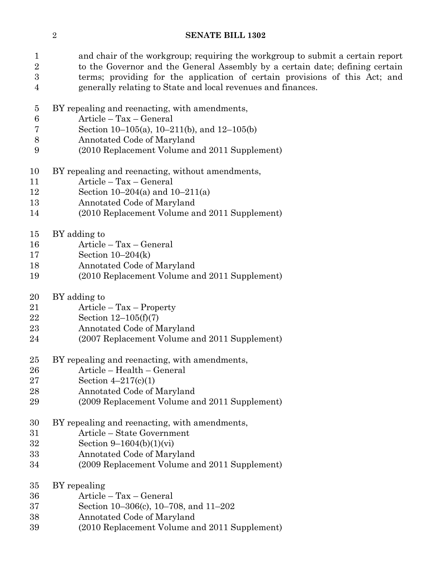### **SENATE BILL 1302**

 and chair of the workgroup; requiring the workgroup to submit a certain report 2 to the Governor and the General Assembly by a certain date; defining certain terms; providing for the application of certain provisions of this Act; and generally relating to State and local revenues and finances.

- BY repealing and reenacting, with amendments,
- Article Tax General
- Section 10–105(a), 10–211(b), and 12–105(b)
- Annotated Code of Maryland
- (2010 Replacement Volume and 2011 Supplement)
- BY repealing and reenacting, without amendments,
- Article Tax General
- Section 10–204(a) and 10–211(a)
- Annotated Code of Maryland
- (2010 Replacement Volume and 2011 Supplement)
- BY adding to
- Article Tax General
- Section 10–204(k)
- Annotated Code of Maryland
- (2010 Replacement Volume and 2011 Supplement)
- BY adding to
- Article Tax Property
- Section 12–105(f)(7)
- Annotated Code of Maryland
- (2007 Replacement Volume and 2011 Supplement)
- BY repealing and reenacting, with amendments,
- Article Health General
- Section 4–217(c)(1)
- Annotated Code of Maryland
- (2009 Replacement Volume and 2011 Supplement)
- BY repealing and reenacting, with amendments,
- Article State Government
- Section 9–1604(b)(1)(vi)
- Annotated Code of Maryland
- (2009 Replacement Volume and 2011 Supplement)
- BY repealing
- Article Tax General
- Section 10–306(c), 10–708, and 11–202
- Annotated Code of Maryland
- (2010 Replacement Volume and 2011 Supplement)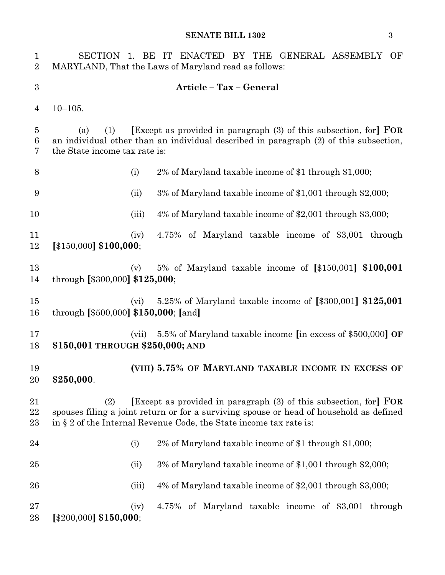| $\mathbf{1}$<br>$\overline{2}$ | SECTION 1. BE IT ENACTED BY THE GENERAL ASSEMBLY OF<br>MARYLAND, That the Laws of Maryland read as follows:                                                                                                                                           |
|--------------------------------|-------------------------------------------------------------------------------------------------------------------------------------------------------------------------------------------------------------------------------------------------------|
| $\boldsymbol{3}$               | Article - Tax - General                                                                                                                                                                                                                               |
| 4                              | $10 - 105.$                                                                                                                                                                                                                                           |
| 5<br>6<br>7                    | <b>Except</b> as provided in paragraph (3) of this subsection, for <b>FOR</b><br>(1)<br>(a)<br>an individual other than an individual described in paragraph (2) of this subsection,<br>the State income tax rate is:                                 |
| $8\,$                          | 2% of Maryland taxable income of \$1 through \$1,000;<br>(i)                                                                                                                                                                                          |
| 9                              | 3% of Maryland taxable income of \$1,001 through \$2,000;<br>(ii)                                                                                                                                                                                     |
| 10                             | 4% of Maryland taxable income of \$2,001 through \$3,000;<br>(iii)                                                                                                                                                                                    |
| 11<br>12                       | 4.75% of Maryland taxable income of \$3,001 through<br>(iv)<br>$[$150,000]$ \$100,000;                                                                                                                                                                |
| 13<br>14                       | 5% of Maryland taxable income of $[\$150,001]$ \$100,001<br>(v)<br>through $[$300,000]$ \$125,000;                                                                                                                                                    |
| 15<br>16                       | 5.25% of Maryland taxable income of $\[ \$300,001\] \$<br>(vi)<br>through $[$500,000]$ \$150,000; [and]                                                                                                                                               |
| 17<br>18                       | 5.5% of Maryland taxable income [in excess of \$500,000] OF<br>(vii)<br>\$150,001 THROUGH \$250,000; AND                                                                                                                                              |
| 19<br>20                       | (VIII) 5.75% OF MARYLAND TAXABLE INCOME IN EXCESS OF<br>\$250,000.                                                                                                                                                                                    |
| 21<br>22<br>$23\,$             | <b>Except</b> as provided in paragraph (3) of this subsection, for <b>FOR</b><br>(2)<br>spouses filing a joint return or for a surviving spouse or head of household as defined<br>in § 2 of the Internal Revenue Code, the State income tax rate is: |
| 24                             | 2% of Maryland taxable income of \$1 through \$1,000;<br>(i)                                                                                                                                                                                          |
| 25                             | 3% of Maryland taxable income of \$1,001 through \$2,000;<br>(ii)                                                                                                                                                                                     |
| 26                             | 4% of Maryland taxable income of \$2,001 through \$3,000;<br>(iii)                                                                                                                                                                                    |
| 27<br>28                       | 4.75% of Maryland taxable income of \$3,001 through<br>(iv)<br>$[$200,000]$ \$150,000;                                                                                                                                                                |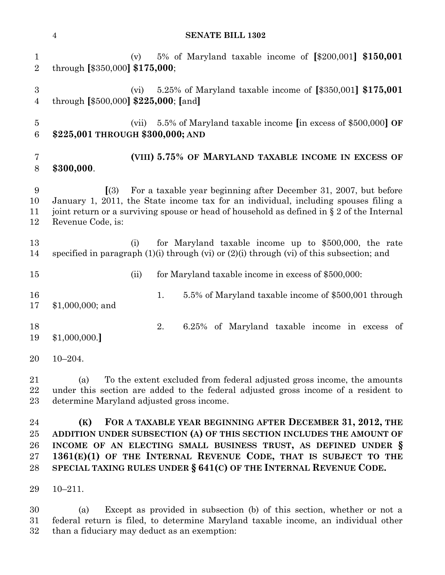#### **SENATE BILL 1302**

 (v) 5% of Maryland taxable income of **[**\$200,001**] \$150,001** through **[**\$350,000**] \$175,000**; (vi) 5.25% of Maryland taxable income of **[**\$350,001**] \$175,001** through **[**\$500,000**] \$225,000**; **[**and**]** (vii) 5.5% of Maryland taxable income **[**in excess of \$500,000**] OF \$225,001 THROUGH \$300,000; AND (VIII) 5.75% OF MARYLAND TAXABLE INCOME IN EXCESS OF \$300,000**. **[**(3) For a taxable year beginning after December 31, 2007, but before January 1, 2011, the State income tax for an individual, including spouses filing a joint return or a surviving spouse or head of household as defined in § 2 of the Internal Revenue Code, is: (i) for Maryland taxable income up to \$500,000, the rate specified in paragraph (1)(i) through (vi) or (2)(i) through (vi) of this subsection; and (ii) for Maryland taxable income in excess of \$500,000: 16 16 1. 5.5% of Maryland taxable income of \$500,001 through \$1,000,000; and 2. 6.25% of Maryland taxable income in excess of \$1,000,000.**]** 10–204. (a) To the extent excluded from federal adjusted gross income, the amounts under this section are added to the federal adjusted gross income of a resident to determine Maryland adjusted gross income. **(K) FOR A TAXABLE YEAR BEGINNING AFTER DECEMBER 31, 2012, THE ADDITION UNDER SUBSECTION (A) OF THIS SECTION INCLUDES THE AMOUNT OF INCOME OF AN ELECTING SMALL BUSINESS TRUST, AS DEFINED UNDER § 1361(E)(1) OF THE INTERNAL REVENUE CODE, THAT IS SUBJECT TO THE** 

10–211.

 (a) Except as provided in subsection (b) of this section, whether or not a federal return is filed, to determine Maryland taxable income, an individual other than a fiduciary may deduct as an exemption:

**SPECIAL TAXING RULES UNDER § 641(C) OF THE INTERNAL REVENUE CODE.**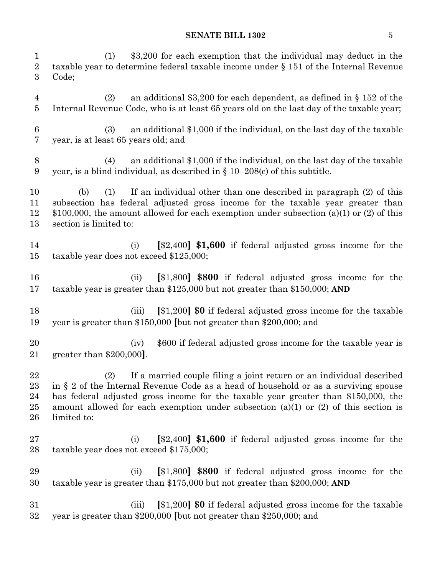| $\mathbf{1}$<br>$\overline{2}$<br>$\boldsymbol{3}$ | \$3,200 for each exemption that the individual may deduct in the<br>(1)<br>taxable year to determine federal taxable income under $\S 151$ of the Internal Revenue<br>Code;                                                                                                                                                                                        |
|----------------------------------------------------|--------------------------------------------------------------------------------------------------------------------------------------------------------------------------------------------------------------------------------------------------------------------------------------------------------------------------------------------------------------------|
| 4<br>5                                             | an additional \$3,200 for each dependent, as defined in $\S 152$ of the<br>(2)<br>Internal Revenue Code, who is at least 65 years old on the last day of the taxable year;                                                                                                                                                                                         |
| $6\phantom{.}6$<br>7                               | an additional \$1,000 if the individual, on the last day of the taxable<br>(3)<br>year, is at least 65 years old; and                                                                                                                                                                                                                                              |
| $8\,$<br>9                                         | an additional \$1,000 if the individual, on the last day of the taxable<br>(4)<br>year, is a blind individual, as described in $\S$ 10–208(c) of this subtitle.                                                                                                                                                                                                    |
| 10<br>11<br>12<br>13                               | If an individual other than one described in paragraph (2) of this<br>(1)<br>(b)<br>subsection has federal adjusted gross income for the taxable year greater than<br>\$100,000, the amount allowed for each exemption under subsection (a)(1) or (2) of this<br>section is limited to:                                                                            |
| 14<br>15                                           | $\left[ $2,400 \right]$ \$1,600 if federal adjusted gross income for the<br>(i)<br>taxable year does not exceed \$125,000;                                                                                                                                                                                                                                         |
| 16<br>17                                           | [\$1,800] \$800 if federal adjusted gross income for the<br>(ii)<br>taxable year is greater than $$125,000$ but not greater than $$150,000$ ; AND                                                                                                                                                                                                                  |
| 18<br>19                                           | [\$1,200] \$0 if federal adjusted gross income for the taxable<br>(iii)<br>year is greater than \$150,000 [but not greater than \$200,000; and                                                                                                                                                                                                                     |
| 20<br>21                                           | \$600 if federal adjusted gross income for the taxable year is<br>(iv)<br>greater than $$200,000$ .                                                                                                                                                                                                                                                                |
| 22<br>23<br>24<br>$25\,$<br>26                     | (2)<br>If a married couple filing a joint return or an individual described<br>in § 2 of the Internal Revenue Code as a head of household or as a surviving spouse<br>has federal adjusted gross income for the taxable year greater than \$150,000, the<br>amount allowed for each exemption under subsection $(a)(1)$ or $(2)$ of this section is<br>limited to: |
| 27<br>28                                           | $[\$2,400]$ \$1,600 if federal adjusted gross income for the<br>(i)<br>taxable year does not exceed \$175,000;                                                                                                                                                                                                                                                     |
| 29<br>30                                           | [\$1,800] \$800 if federal adjusted gross income for the<br>(ii)<br>taxable year is greater than $$175,000$ but not greater than $$200,000$ ; AND                                                                                                                                                                                                                  |
| 31<br>$32\,$                                       | [\$1,200] \$0 if federal adjusted gross income for the taxable<br>(iii)<br>year is greater than \$200,000 [but not greater than \$250,000; and                                                                                                                                                                                                                     |
|                                                    |                                                                                                                                                                                                                                                                                                                                                                    |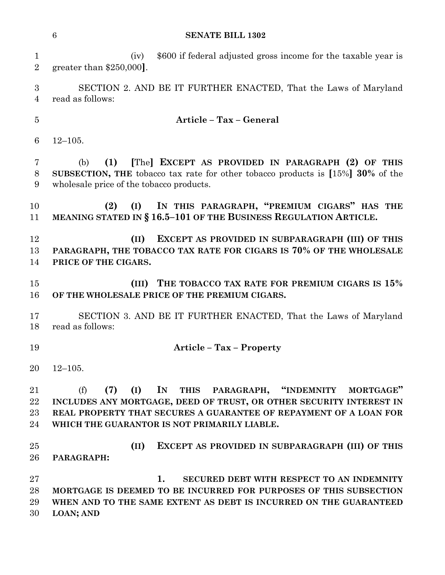(iv) \$600 if federal adjusted gross income for the taxable year is greater than \$250,000**]**. SECTION 2. AND BE IT FURTHER ENACTED, That the Laws of Maryland read as follows: **Article – Tax – General** 12–105. (b) **(1) [**The**] EXCEPT AS PROVIDED IN PARAGRAPH (2) OF THIS SUBSECTION, THE** tobacco tax rate for other tobacco products is **[**15%**] 30%** of the wholesale price of the tobacco products. **(2) (I) IN THIS PARAGRAPH, "PREMIUM CIGARS" HAS THE MEANING STATED IN § 16.5–101 OF THE BUSINESS REGULATION ARTICLE. (II) EXCEPT AS PROVIDED IN SUBPARAGRAPH (III) OF THIS PARAGRAPH, THE TOBACCO TAX RATE FOR CIGARS IS 70% OF THE WHOLESALE PRICE OF THE CIGARS. (III) THE TOBACCO TAX RATE FOR PREMIUM CIGARS IS 15% OF THE WHOLESALE PRICE OF THE PREMIUM CIGARS.** SECTION 3. AND BE IT FURTHER ENACTED, That the Laws of Maryland read as follows: **Article – Tax – Property** 12–105. (f) **(7) (I) IN THIS PARAGRAPH, "INDEMNITY MORTGAGE" INCLUDES ANY MORTGAGE, DEED OF TRUST, OR OTHER SECURITY INTEREST IN REAL PROPERTY THAT SECURES A GUARANTEE OF REPAYMENT OF A LOAN FOR WHICH THE GUARANTOR IS NOT PRIMARILY LIABLE. (II) EXCEPT AS PROVIDED IN SUBPARAGRAPH (III) OF THIS PARAGRAPH: 1. SECURED DEBT WITH RESPECT TO AN INDEMNITY MORTGAGE IS DEEMED TO BE INCURRED FOR PURPOSES OF THIS SUBSECTION WHEN AND TO THE SAME EXTENT AS DEBT IS INCURRED ON THE GUARANTEED LOAN; AND**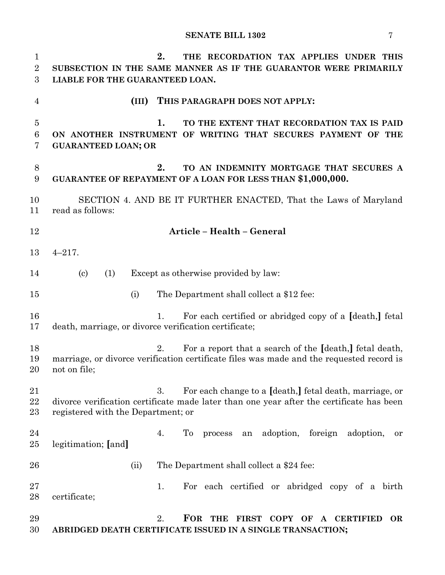**2. THE RECORDATION TAX APPLIES UNDER THIS SUBSECTION IN THE SAME MANNER AS IF THE GUARANTOR WERE PRIMARILY LIABLE FOR THE GUARANTEED LOAN. (III) THIS PARAGRAPH DOES NOT APPLY: 1. TO THE EXTENT THAT RECORDATION TAX IS PAID ON ANOTHER INSTRUMENT OF WRITING THAT SECURES PAYMENT OF THE GUARANTEED LOAN; OR 2. TO AN INDEMNITY MORTGAGE THAT SECURES A GUARANTEE OF REPAYMENT OF A LOAN FOR LESS THAN \$1,000,000.** SECTION 4. AND BE IT FURTHER ENACTED, That the Laws of Maryland read as follows: **Article – Health – General** 4–217. (c) (1) Except as otherwise provided by law: (i) The Department shall collect a \$12 fee: 1. For each certified or abridged copy of a **[**death,**]** fetal death, marriage, or divorce verification certificate; 2. For a report that a search of the **[**death,**]** fetal death, marriage, or divorce verification certificate files was made and the requested record is not on file; 3. For each change to a **[**death,**]** fetal death, marriage, or divorce verification certificate made later than one year after the certificate has been registered with the Department; or 4. To process an adoption, foreign adoption, or legitimation; **[**and**]** (ii) The Department shall collect a \$24 fee: 27 1. For each certified or abridged copy of a birth certificate; 2. **FOR THE FIRST COPY OF A CERTIFIED OR ABRIDGED DEATH CERTIFICATE ISSUED IN A SINGLE TRANSACTION;**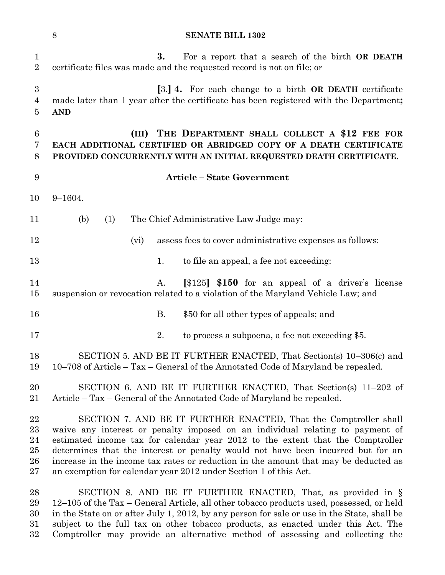|                                            | 8<br><b>SENATE BILL 1302</b>                                                                                                                                                                                                                                                                                                                                                                                                                                                      |
|--------------------------------------------|-----------------------------------------------------------------------------------------------------------------------------------------------------------------------------------------------------------------------------------------------------------------------------------------------------------------------------------------------------------------------------------------------------------------------------------------------------------------------------------|
| $\mathbf{1}$<br>$\overline{2}$             | 3.<br>For a report that a search of the birth <b>OR DEATH</b><br>certificate files was made and the requested record is not on file; or                                                                                                                                                                                                                                                                                                                                           |
| 3<br>4<br>5                                | [3.] 4. For each change to a birth OR DEATH certificate<br>made later than 1 year after the certificate has been registered with the Department;<br><b>AND</b>                                                                                                                                                                                                                                                                                                                    |
| 6<br>7<br>8                                | THE DEPARTMENT SHALL COLLECT A \$12 FEE FOR<br>(III)<br>EACH ADDITIONAL CERTIFIED OR ABRIDGED COPY OF A DEATH CERTIFICATE<br>PROVIDED CONCURRENTLY WITH AN INITIAL REQUESTED DEATH CERTIFICATE.                                                                                                                                                                                                                                                                                   |
| 9                                          | <b>Article - State Government</b>                                                                                                                                                                                                                                                                                                                                                                                                                                                 |
| 10                                         | $9 - 1604.$                                                                                                                                                                                                                                                                                                                                                                                                                                                                       |
| 11                                         | (b)<br>The Chief Administrative Law Judge may:<br>(1)                                                                                                                                                                                                                                                                                                                                                                                                                             |
| 12                                         | assess fees to cover administrative expenses as follows:<br>(vi)                                                                                                                                                                                                                                                                                                                                                                                                                  |
| 13                                         | to file an appeal, a fee not exceeding:<br>1.                                                                                                                                                                                                                                                                                                                                                                                                                                     |
| 14<br>$15\,$                               | [\$125] \$150 for an appeal of a driver's license<br>A.<br>suspension or revocation related to a violation of the Maryland Vehicle Law; and                                                                                                                                                                                                                                                                                                                                       |
| 16                                         | <b>B.</b><br>\$50 for all other types of appeals; and                                                                                                                                                                                                                                                                                                                                                                                                                             |
| 17                                         | 2.<br>to process a subpoena, a fee not exceeding \$5.                                                                                                                                                                                                                                                                                                                                                                                                                             |
| 18<br>19                                   | SECTION 5. AND BE IT FURTHER ENACTED, That Section(s) 10-306(c) and<br>$10-708$ of Article – Tax – General of the Annotated Code of Maryland be repealed.                                                                                                                                                                                                                                                                                                                         |
| 20<br>21                                   | SECTION 6. AND BE IT FURTHER ENACTED, That Section(s) 11–202 of<br>Article - Tax - General of the Annotated Code of Maryland be repealed.                                                                                                                                                                                                                                                                                                                                         |
| 22<br>23<br>24<br>$25\,$<br>26<br>$\rm 27$ | SECTION 7. AND BE IT FURTHER ENACTED, That the Comptroller shall<br>waive any interest or penalty imposed on an individual relating to payment of<br>estimated income tax for calendar year 2012 to the extent that the Comptroller<br>determines that the interest or penalty would not have been incurred but for an<br>increase in the income tax rates or reduction in the amount that may be deducted as<br>an exemption for calendar year 2012 under Section 1 of this Act. |
| 28<br>29<br>30<br>31                       | SECTION 8. AND BE IT FURTHER ENACTED, That, as provided in $\S$<br>12–105 of the Tax – General Article, all other tobacco products used, possessed, or held<br>in the State on or after July 1, 2012, by any person for sale or use in the State, shall be<br>subject to the full tax on other tobacco products, as enacted under this Act. The                                                                                                                                   |

Comptroller may provide an alternative method of assessing and collecting the